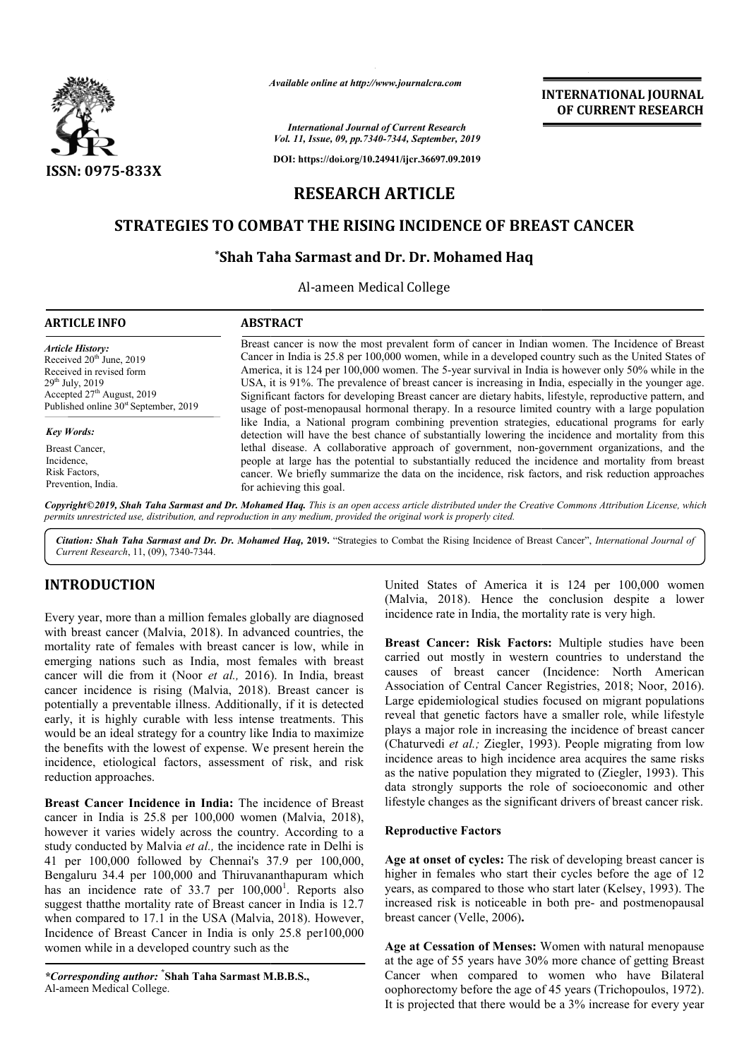

*Available online at http://www.journalcra.com*

## **INTERNATIONAL JOURNAL OF CURRENT RESEARCH**

# **STRATEGIES TO COMBAT THE RISING INCIDENCE OF BREAST CANCER**

## $^*$ Shah Taha Sarmast and Dr. Dr. Mohamed Haq

|                                                                                                                                                                                                                                                                                                                                                                                                                                                                                                                                                                                                                                                                                                                                                                                                                                                                                                                                                                                                                                                                                                                                                                                                                                                                                                                                                                                                                                                       | ranuvic vinine ur nup://www.jvurnur.ru.com                                                                                                                                                                                                                                                                                                                                                                                                                                                                                                                                                                                                                                                                                                                                                                                                                                                                                                                                                                                                                                                                                                                                                   | <b>INTERNATIONAL JOURNAL</b><br>OF CURRENT RESEARCH                                                                                                                                                                                                                                                                                                                                                                                                                                                                                                                                                                                                                                                                                                                                                                                                                                                                                                                                                                                                                                                                                                                                                                                                                                                             |  |  |
|-------------------------------------------------------------------------------------------------------------------------------------------------------------------------------------------------------------------------------------------------------------------------------------------------------------------------------------------------------------------------------------------------------------------------------------------------------------------------------------------------------------------------------------------------------------------------------------------------------------------------------------------------------------------------------------------------------------------------------------------------------------------------------------------------------------------------------------------------------------------------------------------------------------------------------------------------------------------------------------------------------------------------------------------------------------------------------------------------------------------------------------------------------------------------------------------------------------------------------------------------------------------------------------------------------------------------------------------------------------------------------------------------------------------------------------------------------|----------------------------------------------------------------------------------------------------------------------------------------------------------------------------------------------------------------------------------------------------------------------------------------------------------------------------------------------------------------------------------------------------------------------------------------------------------------------------------------------------------------------------------------------------------------------------------------------------------------------------------------------------------------------------------------------------------------------------------------------------------------------------------------------------------------------------------------------------------------------------------------------------------------------------------------------------------------------------------------------------------------------------------------------------------------------------------------------------------------------------------------------------------------------------------------------|-----------------------------------------------------------------------------------------------------------------------------------------------------------------------------------------------------------------------------------------------------------------------------------------------------------------------------------------------------------------------------------------------------------------------------------------------------------------------------------------------------------------------------------------------------------------------------------------------------------------------------------------------------------------------------------------------------------------------------------------------------------------------------------------------------------------------------------------------------------------------------------------------------------------------------------------------------------------------------------------------------------------------------------------------------------------------------------------------------------------------------------------------------------------------------------------------------------------------------------------------------------------------------------------------------------------|--|--|
|                                                                                                                                                                                                                                                                                                                                                                                                                                                                                                                                                                                                                                                                                                                                                                                                                                                                                                                                                                                                                                                                                                                                                                                                                                                                                                                                                                                                                                                       |                                                                                                                                                                                                                                                                                                                                                                                                                                                                                                                                                                                                                                                                                                                                                                                                                                                                                                                                                                                                                                                                                                                                                                                              | <b>International Journal of Current Research</b><br>Vol. 11, Issue, 09, pp. 7340-7344, September, 2019                                                                                                                                                                                                                                                                                                                                                                                                                                                                                                                                                                                                                                                                                                                                                                                                                                                                                                                                                                                                                                                                                                                                                                                                          |  |  |
| ISSN: 0975-833X                                                                                                                                                                                                                                                                                                                                                                                                                                                                                                                                                                                                                                                                                                                                                                                                                                                                                                                                                                                                                                                                                                                                                                                                                                                                                                                                                                                                                                       |                                                                                                                                                                                                                                                                                                                                                                                                                                                                                                                                                                                                                                                                                                                                                                                                                                                                                                                                                                                                                                                                                                                                                                                              | DOI: https://doi.org/10.24941/ijcr.36697.09.2019                                                                                                                                                                                                                                                                                                                                                                                                                                                                                                                                                                                                                                                                                                                                                                                                                                                                                                                                                                                                                                                                                                                                                                                                                                                                |  |  |
|                                                                                                                                                                                                                                                                                                                                                                                                                                                                                                                                                                                                                                                                                                                                                                                                                                                                                                                                                                                                                                                                                                                                                                                                                                                                                                                                                                                                                                                       |                                                                                                                                                                                                                                                                                                                                                                                                                                                                                                                                                                                                                                                                                                                                                                                                                                                                                                                                                                                                                                                                                                                                                                                              |                                                                                                                                                                                                                                                                                                                                                                                                                                                                                                                                                                                                                                                                                                                                                                                                                                                                                                                                                                                                                                                                                                                                                                                                                                                                                                                 |  |  |
| <b>RESEARCH ARTICLE</b><br>STRATEGIES TO COMBAT THE RISING INCIDENCE OF BREAST CANCER                                                                                                                                                                                                                                                                                                                                                                                                                                                                                                                                                                                                                                                                                                                                                                                                                                                                                                                                                                                                                                                                                                                                                                                                                                                                                                                                                                 |                                                                                                                                                                                                                                                                                                                                                                                                                                                                                                                                                                                                                                                                                                                                                                                                                                                                                                                                                                                                                                                                                                                                                                                              |                                                                                                                                                                                                                                                                                                                                                                                                                                                                                                                                                                                                                                                                                                                                                                                                                                                                                                                                                                                                                                                                                                                                                                                                                                                                                                                 |  |  |
|                                                                                                                                                                                                                                                                                                                                                                                                                                                                                                                                                                                                                                                                                                                                                                                                                                                                                                                                                                                                                                                                                                                                                                                                                                                                                                                                                                                                                                                       |                                                                                                                                                                                                                                                                                                                                                                                                                                                                                                                                                                                                                                                                                                                                                                                                                                                                                                                                                                                                                                                                                                                                                                                              |                                                                                                                                                                                                                                                                                                                                                                                                                                                                                                                                                                                                                                                                                                                                                                                                                                                                                                                                                                                                                                                                                                                                                                                                                                                                                                                 |  |  |
| Al-ameen Medical College                                                                                                                                                                                                                                                                                                                                                                                                                                                                                                                                                                                                                                                                                                                                                                                                                                                                                                                                                                                                                                                                                                                                                                                                                                                                                                                                                                                                                              |                                                                                                                                                                                                                                                                                                                                                                                                                                                                                                                                                                                                                                                                                                                                                                                                                                                                                                                                                                                                                                                                                                                                                                                              |                                                                                                                                                                                                                                                                                                                                                                                                                                                                                                                                                                                                                                                                                                                                                                                                                                                                                                                                                                                                                                                                                                                                                                                                                                                                                                                 |  |  |
| <b>ARTICLE INFO</b>                                                                                                                                                                                                                                                                                                                                                                                                                                                                                                                                                                                                                                                                                                                                                                                                                                                                                                                                                                                                                                                                                                                                                                                                                                                                                                                                                                                                                                   | <b>ABSTRACT</b>                                                                                                                                                                                                                                                                                                                                                                                                                                                                                                                                                                                                                                                                                                                                                                                                                                                                                                                                                                                                                                                                                                                                                                              |                                                                                                                                                                                                                                                                                                                                                                                                                                                                                                                                                                                                                                                                                                                                                                                                                                                                                                                                                                                                                                                                                                                                                                                                                                                                                                                 |  |  |
| <b>Article History:</b><br>Received 20 <sup>th</sup> June, 2019<br>Received in revised form<br>29 <sup>th</sup> July, 2019<br>Accepted 27 <sup>th</sup> August, 2019<br>Published online 30 <sup>st</sup> September, 2019                                                                                                                                                                                                                                                                                                                                                                                                                                                                                                                                                                                                                                                                                                                                                                                                                                                                                                                                                                                                                                                                                                                                                                                                                             | Breast cancer is now the most prevalent form of cancer in Indian women. The Incidence of Breast<br>Cancer in India is 25.8 per 100,000 women, while in a developed country such as the United States of<br>America, it is 124 per 100,000 women. The 5-year survival in India is however only 50% while in the<br>USA, it is 91%. The prevalence of breast cancer is increasing in India, especially in the younger age.<br>Significant factors for developing Breast cancer are dietary habits, lifestyle, reproductive pattern, and<br>usage of post-menopausal hormonal therapy. In a resource limited country with a large population<br>like India, a National program combining prevention strategies, educational programs for early<br>detection will have the best chance of substantially lowering the incidence and mortality from this<br>lethal disease. A collaborative approach of government, non-government organizations, and the<br>people at large has the potential to substantially reduced the incidence and mortality from breast<br>cancer. We briefly summarize the data on the incidence, risk factors, and risk reduction approaches<br>for achieving this goal. |                                                                                                                                                                                                                                                                                                                                                                                                                                                                                                                                                                                                                                                                                                                                                                                                                                                                                                                                                                                                                                                                                                                                                                                                                                                                                                                 |  |  |
| Key Words:<br>Breast Cancer,<br>Incidence,<br>Risk Factors,<br>Prevention, India.                                                                                                                                                                                                                                                                                                                                                                                                                                                                                                                                                                                                                                                                                                                                                                                                                                                                                                                                                                                                                                                                                                                                                                                                                                                                                                                                                                     |                                                                                                                                                                                                                                                                                                                                                                                                                                                                                                                                                                                                                                                                                                                                                                                                                                                                                                                                                                                                                                                                                                                                                                                              |                                                                                                                                                                                                                                                                                                                                                                                                                                                                                                                                                                                                                                                                                                                                                                                                                                                                                                                                                                                                                                                                                                                                                                                                                                                                                                                 |  |  |
| permits unrestricted use, distribution, and reproduction in any medium, provided the original work is properly cited.                                                                                                                                                                                                                                                                                                                                                                                                                                                                                                                                                                                                                                                                                                                                                                                                                                                                                                                                                                                                                                                                                                                                                                                                                                                                                                                                 |                                                                                                                                                                                                                                                                                                                                                                                                                                                                                                                                                                                                                                                                                                                                                                                                                                                                                                                                                                                                                                                                                                                                                                                              | Copyright©2019, Shah Taha Sarmast and Dr. Mohamed Haq. This is an open access article distributed under the Creative Commons Attribution License, which                                                                                                                                                                                                                                                                                                                                                                                                                                                                                                                                                                                                                                                                                                                                                                                                                                                                                                                                                                                                                                                                                                                                                         |  |  |
| Current Research, 11, (09), 7340-7344.                                                                                                                                                                                                                                                                                                                                                                                                                                                                                                                                                                                                                                                                                                                                                                                                                                                                                                                                                                                                                                                                                                                                                                                                                                                                                                                                                                                                                |                                                                                                                                                                                                                                                                                                                                                                                                                                                                                                                                                                                                                                                                                                                                                                                                                                                                                                                                                                                                                                                                                                                                                                                              | Citation: Shah Taha Sarmast and Dr. Dr. Mohamed Haq, 2019. "Strategies to Combat the Rising Incidence of Breast Cancer", International Journal of                                                                                                                                                                                                                                                                                                                                                                                                                                                                                                                                                                                                                                                                                                                                                                                                                                                                                                                                                                                                                                                                                                                                                               |  |  |
| <b>INTRODUCTION</b><br>Every year, more than a million females globally are diagnosed<br>with breast cancer (Malvia, 2018). In advanced countries, the<br>mortality rate of females with breast cancer is low, while in<br>emerging nations such as India, most females with breast<br>cancer will die from it (Noor et al., 2016). In India, breast<br>cancer incidence is rising (Malvia, 2018). Breast cancer is<br>potentially a preventable illness. Additionally, if it is detected<br>early, it is highly curable with less intense treatments. This<br>would be an ideal strategy for a country like India to maximize<br>the benefits with the lowest of expense. We present herein the<br>incidence, etiological factors, assessment of risk, and risk<br>reduction approaches.<br>Breast Cancer Incidence in India: The incidence of Breast<br>cancer in India is 25.8 per 100,000 women (Malvia, 2018),<br>however it varies widely across the country. According to a<br>study conducted by Malvia et al., the incidence rate in Delhi is<br>41 per 100,000 followed by Chennai's 37.9 per 100,000,<br>Bengaluru 34.4 per 100,000 and Thiruvananthapuram which<br>has an incidence rate of 33.7 per 100,000 <sup>1</sup> . Reports also<br>suggest thatthe mortality rate of Breast cancer in India is 12.7<br>when compared to 17.1 in the USA (Malvia, 2018). However,<br>Incidence of Breast Cancer in India is only 25.8 per 100,000 |                                                                                                                                                                                                                                                                                                                                                                                                                                                                                                                                                                                                                                                                                                                                                                                                                                                                                                                                                                                                                                                                                                                                                                                              | United States of America it is 124 per 100,000 women<br>(Malvia, 2018). Hence the conclusion despite a lower<br>incidence rate in India, the mortality rate is very high.<br>Breast Cancer: Risk Factors: Multiple studies have been<br>carried out mostly in western countries to understand the<br>causes of breast cancer (Incidence: North American<br>Association of Central Cancer Registries, 2018; Noor, 2016).<br>Large epidemiological studies focused on migrant populations<br>reveal that genetic factors have a smaller role, while lifestyle<br>plays a major role in increasing the incidence of breast cancer<br>(Chaturvedi et al.; Ziegler, 1993). People migrating from low<br>incidence areas to high incidence area acquires the same risks<br>as the native population they migrated to (Ziegler, 1993). This<br>data strongly supports the role of socioeconomic and other<br>lifestyle changes as the significant drivers of breast cancer risk.<br><b>Reproductive Factors</b><br>Age at onset of cycles: The risk of developing breast cancer is<br>higher in females who start their cycles before the age of 12<br>years, as compared to those who start later (Kelsey, 1993). The<br>increased risk is noticeable in both pre- and postmenopausal<br>breast cancer (Velle, 2006). |  |  |
| women while in a developed country such as the<br>*Corresponding author: *Shah Taha Sarmast M.B.B.S.,<br>Al-ameen Medical College.                                                                                                                                                                                                                                                                                                                                                                                                                                                                                                                                                                                                                                                                                                                                                                                                                                                                                                                                                                                                                                                                                                                                                                                                                                                                                                                    |                                                                                                                                                                                                                                                                                                                                                                                                                                                                                                                                                                                                                                                                                                                                                                                                                                                                                                                                                                                                                                                                                                                                                                                              | Age at Cessation of Menses: Women with natural menopause<br>at the age of 55 years have 30% more chance of getting Breast<br>Cancer when compared to women who have Bilateral<br>oophorectomy before the age of 45 years (Trichopoulos, 1972).<br>It is projected that there would be a 3% increase for every year                                                                                                                                                                                                                                                                                                                                                                                                                                                                                                                                                                                                                                                                                                                                                                                                                                                                                                                                                                                              |  |  |

## **INTRODUCTION**

### **Reproductive Factors**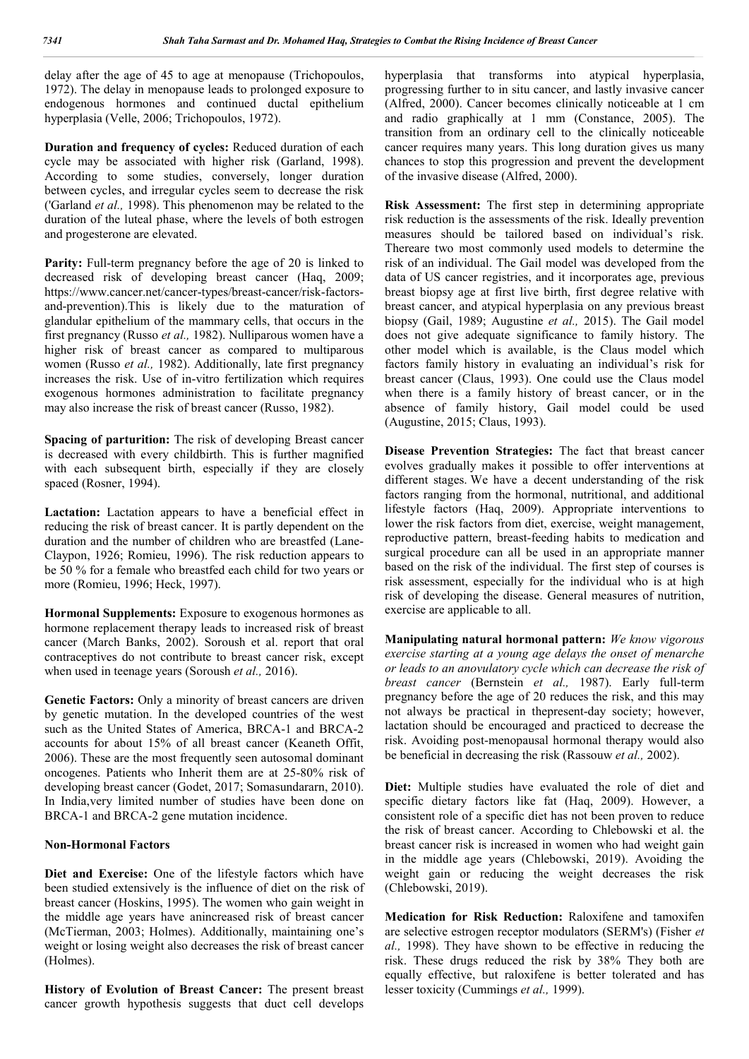delay after the age of 45 to age at menopause (Trichopoulos, 1972). The delay in menopause leads to prolonged exposure to endogenous hormones and continued ductal epithelium hyperplasia (Velle, 2006; Trichopoulos, 1972).

**Duration and frequency of cycles:** Reduced duration of each cycle may be associated with higher risk (Garland, 1998). According to some studies, conversely, longer duration between cycles, and irregular cycles seem to decrease the risk ('Garland *et al.,* 1998). This phenomenon may be related to the duration of the luteal phase, where the levels of both estrogen and progesterone are elevated.

Parity: Full-term pregnancy before the age of 20 is linked to decreased risk of developing breast cancer (Haq, 2009; https://www.cancer.net/cancer-types/breast-cancer/risk-factorsand-prevention).This is likely due to the maturation of glandular epithelium of the mammary cells, that occurs in the first pregnancy (Russo *et al.,* 1982). Nulliparous women have a higher risk of breast cancer as compared to multiparous women (Russo *et al.,* 1982). Additionally, late first pregnancy increases the risk. Use of in-vitro fertilization which requires exogenous hormones administration to facilitate pregnancy may also increase the risk of breast cancer (Russo, 1982).

**Spacing of parturition:** The risk of developing Breast cancer is decreased with every childbirth. This is further magnified with each subsequent birth, especially if they are closely spaced (Rosner, 1994).

Lactation: Lactation appears to have a beneficial effect in reducing the risk of breast cancer. It is partly dependent on the duration and the number of children who are breastfed (Lane-Claypon, 1926; Romieu, 1996). The risk reduction appears to be 50 % for a female who breastfed each child for two years or more (Romieu, 1996; Heck, 1997).

**Hormonal Supplements:** Exposure to exogenous hormones as hormone replacement therapy leads to increased risk of breast cancer (March Banks, 2002). Soroush et al. report that oral contraceptives do not contribute to breast cancer risk, except when used in teenage years (Soroush *et al.,* 2016).

Genetic Factors: Only a minority of breast cancers are driven by genetic mutation. In the developed countries of the west such as the United States of America, BRCA-1 and BRCA-2 accounts for about 15% of all breast cancer (Keaneth Offit, 2006). These are the most frequently seen autosomal dominant oncogenes. Patients who Inherit them are at 25-80% risk of developing breast cancer (Godet, 2017; Somasundararn, 2010). In India,very limited number of studies have been done on BRCA-1 and BRCA-2 gene mutation incidence.

### **Non-Hormonal Factors**

**Diet and Exercise:** One of the lifestyle factors which have been studied extensively is the influence of diet on the risk of breast cancer (Hoskins, 1995). The women who gain weight in the middle age years have anincreased risk of breast cancer (McTierman, 2003; Holmes). Additionally, maintaining one's weight or losing weight also decreases the risk of breast cancer (Holmes).

**History of Evolution of Breast Cancer:** The present breast cancer growth hypothesis suggests that duct cell develops

hyperplasia that transforms into atypical hyperplasia, progressing further to in situ cancer, and lastly invasive cancer (Alfred, 2000). Cancer becomes clinically noticeable at 1 cm and radio graphically at 1 mm (Constance, 2005). The transition from an ordinary cell to the clinically noticeable cancer requires many years. This long duration gives us many chances to stop this progression and prevent the development of the invasive disease (Alfred, 2000).

**Risk Assessment:** The first step in determining appropriate risk reduction is the assessments of the risk. Ideally prevention measures should be tailored based on individual's risk. Thereare two most commonly used models to determine the risk of an individual. The Gail model was developed from the data of US cancer registries, and it incorporates age, previous breast biopsy age at first live birth, first degree relative with breast cancer, and atypical hyperplasia on any previous breast biopsy (Gail, 1989; Augustine *et al.,* 2015). The Gail model does not give adequate significance to family history. The other model which is available, is the Claus model which factors family history in evaluating an individual's risk for breast cancer (Claus, 1993). One could use the Claus model when there is a family history of breast cancer, or in the absence of family history, Gail model could be used (Augustine, 2015; Claus, 1993).

**Disease Prevention Strategies:** The fact that breast cancer evolves gradually makes it possible to offer interventions at different stages. We have a decent understanding of the risk factors ranging from the hormonal, nutritional, and additional lifestyle factors (Haq, 2009). Appropriate interventions to lower the risk factors from diet, exercise, weight management, reproductive pattern, breast-feeding habits to medication and surgical procedure can all be used in an appropriate manner based on the risk of the individual. The first step of courses is risk assessment, especially for the individual who is at high risk of developing the disease. General measures of nutrition, exercise are applicable to all.

**Manipulating natural hormonal pattern:** *We know vigorous exercise starting at a young age delays the onset of menarche or leads to an anovulatory cycle which can decrease the risk of breast cancer* (Bernstein *et al.,* 1987). Early full-term pregnancy before the age of 20 reduces the risk, and this may not always be practical in thepresent-day society; however, lactation should be encouraged and practiced to decrease the risk. Avoiding post-menopausal hormonal therapy would also be beneficial in decreasing the risk (Rassouw *et al.,* 2002).

**Diet:** Multiple studies have evaluated the role of diet and specific dietary factors like fat (Haq, 2009). However, a consistent role of a specific diet has not been proven to reduce the risk of breast cancer. According to Chlebowski et al. the breast cancer risk is increased in women who had weight gain in the middle age years (Chlebowski, 2019). Avoiding the weight gain or reducing the weight decreases the risk (Chlebowski, 2019).

**Medication for Risk Reduction:** Raloxifene and tamoxifen are selective estrogen receptor modulators (SERM's) (Fisher *et al.,* 1998). They have shown to be effective in reducing the risk. These drugs reduced the risk by 38% They both are equally effective, but raloxifene is better tolerated and has lesser toxicity (Cummings *et al.,* 1999).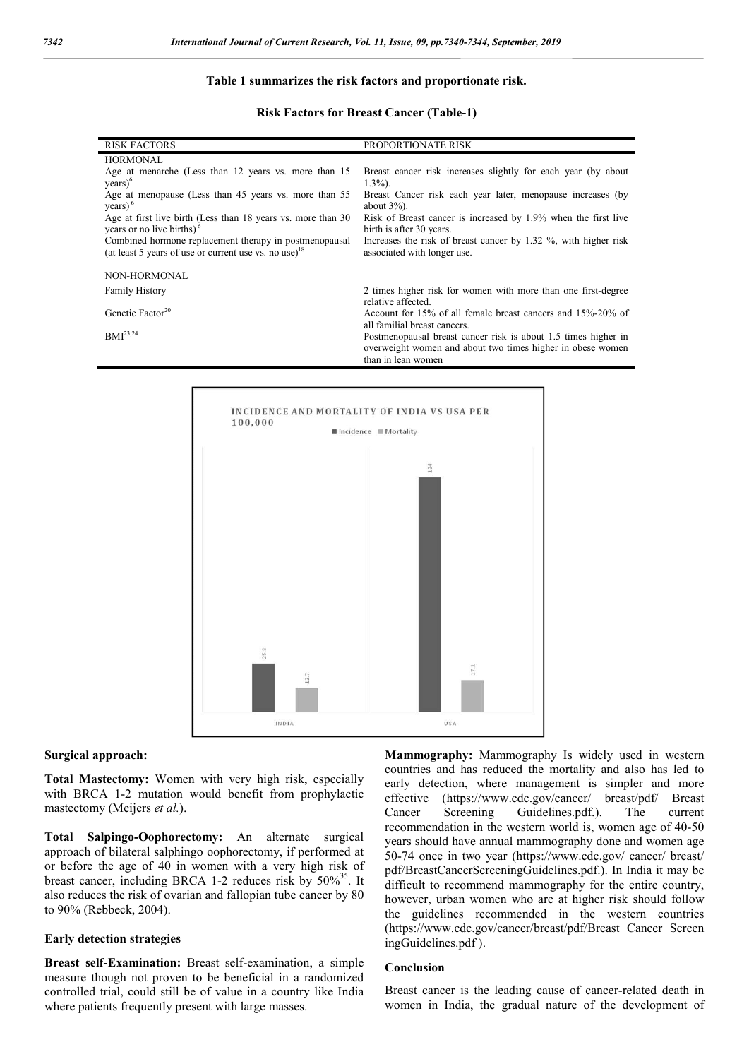#### **Table 1 summarizes the risk factors and proportionate risk.**

#### **Risk Factors for Breast Cancer (Table-1)**

| <b>RISK FACTORS</b>                                                                                                         | PROPORTIONATE RISK                                                                                                           |
|-----------------------------------------------------------------------------------------------------------------------------|------------------------------------------------------------------------------------------------------------------------------|
| <b>HORMONAL</b>                                                                                                             |                                                                                                                              |
| Age at menarche (Less than 12 years vs. more than 15<br>$years)^6$                                                          | Breast cancer risk increases slightly for each year (by about<br>$1.3\%$ ).                                                  |
| Age at menopause (Less than 45 years vs. more than 55<br>$years)$ <sup>6</sup>                                              | Breast Cancer risk each year later, menopause increases (by<br>about $3\%$ ).                                                |
| Age at first live birth (Less than 18 years vs. more than 30<br>vears or no live births) $6$                                | Risk of Breast cancer is increased by 1.9% when the first live<br>birth is after 30 years.                                   |
| Combined hormone replacement therapy in postmenopausal<br>(at least 5 years of use or current use vs. no use) <sup>18</sup> | Increases the risk of breast cancer by 1.32 %, with higher risk<br>associated with longer use.                               |
|                                                                                                                             |                                                                                                                              |
| NON-HORMONAL                                                                                                                |                                                                                                                              |
| <b>Family History</b>                                                                                                       | 2 times higher risk for women with more than one first-degree                                                                |
|                                                                                                                             | relative affected.                                                                                                           |
| Genetic Factor <sup>20</sup>                                                                                                | Account for 15% of all female breast cancers and 15%-20% of                                                                  |
| $BMI^{23,24}$                                                                                                               | all familial breast cancers.                                                                                                 |
|                                                                                                                             | Postmenopausal breast cancer risk is about 1.5 times higher in<br>overweight women and about two times higher in obese women |
|                                                                                                                             | than in lean women                                                                                                           |



#### **Surgical approach:**

**Total Mastectomy:** Women with very high risk, especially with BRCA 1-2 mutation would benefit from prophylactic mastectomy (Meijers *et al.*).

**Total Salpingo-Oophorectomy:** An alternate surgical approach of bilateral salphingo oophorectomy, if performed at or before the age of 40 in women with a very high risk of breast cancer, including BRCA 1-2 reduces risk by  $50\%^{35}$ . It also reduces the risk of ovarian and fallopian tube cancer by 80 to 90% (Rebbeck, 2004).

#### **Early detection strategies**

**Breast self-Examination:** Breast self-examination, a simple measure though not proven to be beneficial in a randomized controlled trial, could still be of value in a country like India where patients frequently present with large masses.

**Mammography:** Mammography Is widely used in western countries and has reduced the mortality and also has led to early detection, where management is simpler and more effective (https://www.cdc.gov/cancer/ breast/pdf/ Breast Cancer Screening Guidelines.pdf.). The current recommendation in the western world is, women age of 40-50 years should have annual mammography done and women age 50-74 once in two year (https://www.cdc.gov/ cancer/ breast/ pdf/BreastCancerScreeningGuidelines.pdf.). In India it may be difficult to recommend mammography for the entire country, however, urban women who are at higher risk should follow the guidelines recommended in the western countries (https://www.cdc.gov/cancer/breast/pdf/Breast Cancer Screen ingGuidelines.pdf ).

### **Conclusion**

Breast cancer is the leading cause of cancer-related death in women in India, the gradual nature of the development of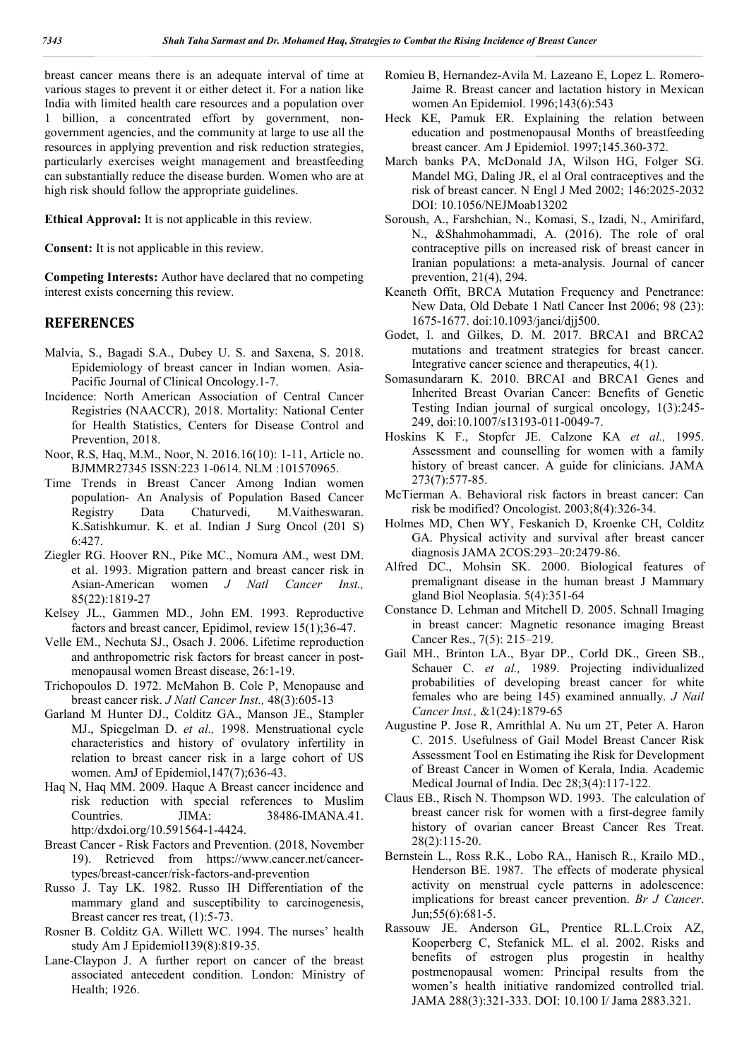breast cancer means there is an adequate interval of time at various stages to prevent it or either detect it. For a nation like India with limited health care resources and a population over 1 billion, a concentrated effort by government, nongovernment agencies, and the community at large to use all the resources in applying prevention and risk reduction strategies, particularly exercises weight management and breastfeeding can substantially reduce the disease burden. Women who are at high risk should follow the appropriate guidelines.

**Ethical Approval:** It is not applicable in this review.

**Consent:** It is not applicable in this review.

**Competing Interests:** Author have declared that no competing interest exists concerning this review.

## **REFERENCES**

- Malvia, S., Bagadi S.A., Dubey U. S. and Saxena, S. 2018. Epidemiology of breast cancer in Indian women. Asia-Pacific Journal of Clinical Oncology.1-7.
- Incidence: North American Association of Central Cancer Registries (NAACCR), 2018. Mortality: National Center for Health Statistics, Centers for Disease Control and Prevention, 2018.
- Noor, R.S, Haq, M.M., Noor, N. 2016.16(10): 1-11, Article no. BJMMR27345 ISSN:223 1-0614. NLM :101570965.
- Time Trends in Breast Cancer Among Indian women population- An Analysis of Population Based Cancer Registry Data Chaturvedi, M.Vaitheswaran. K.Satishkumur. K. et al. Indian J Surg Oncol (201 S) 6:427.
- Ziegler RG. Hoover RN., Pike MC., Nomura AM., west DM. et al. 1993. Migration pattern and breast cancer risk in Asian-American women *J Natl Cancer Inst.,* 85(22):1819-27
- Kelsey JL., Gammen MD., John EM. 1993. Reproductive factors and breast cancer, Epidimol, review 15(1);36-47.
- Velle EM., Nechuta SJ., Osach J. 2006. Lifetime reproduction and anthropometric risk factors for breast cancer in postmenopausal women Breast disease, 26:1-19.
- Trichopoulos D. 1972. McMahon B. Cole P, Menopause and breast cancer risk. *J Natl Cancer Inst.,* 48(3):605-13
- Garland M Hunter DJ., Colditz GA., Manson JE., Stampler MJ., Spiegelman D. *et al.,* 1998. Menstruational cycle characteristics and history of ovulatory infertility in relation to breast cancer risk in a large cohort of US women. AmJ of Epidemiol,147(7);636-43.
- Haq N, Haq MM. 2009. Haque A Breast cancer incidence and risk reduction with special references to Muslim Countries. JIMA: 38486-IMANA.41. http:/dxdoi.org/10.591564-1-4424.
- Breast Cancer Risk Factors and Prevention. (2018, November 19). Retrieved from https://www.cancer.net/cancertypes/breast-cancer/risk-factors-and-prevention
- Russo J. Tay LK. 1982. Russo IH Differentiation of the mammary gland and susceptibility to carcinogenesis, Breast cancer res treat, (1):5-73.
- Rosner B. Colditz GA. Willett WC. 1994. The nurses' health study Am J Epidemiol139(8):819-35.
- Lane-Claypon J. A further report on cancer of the breast associated antecedent condition. London: Ministry of Health; 1926.
- Romieu B, Hernandez-Avila M. Lazeano E, Lopez L. Romero-Jaime R. Breast cancer and lactation history in Mexican women An Epidemiol. 1996;143(6):543
- Heck KE, Pamuk ER. Explaining the relation between education and postmenopausal Months of breastfeeding breast cancer. Am J Epidemiol. 1997;145.360-372.
- March banks PA, McDonald JA, Wilson HG, Folger SG. Mandel MG, Daling JR, el al Oral contraceptives and the risk of breast cancer. N Engl J Med 2002; 146:2025-2032 DOI: 10.1056/NEJMoab13202
- Soroush, A., Farshchian, N., Komasi, S., Izadi, N., Amirifard, N., &Shahmohammadi, A. (2016). The role of oral contraceptive pills on increased risk of breast cancer in Iranian populations: a meta-analysis. Journal of cancer prevention, 21(4), 294.
- Keaneth Offit, BRCA Mutation Frequency and Penetrance: New Data, Old Debate 1 Natl Cancer Inst 2006; 98 (23): 1675-1677. doi:10.1093/janci/djj500.
- Godet, I. and Gilkes, D. M. 2017. BRCA1 and BRCA2 mutations and treatment strategies for breast cancer. Integrative cancer science and therapeutics, 4(1).
- Somasundararn K. 2010. BRCAI and BRCA1 Genes and Inherited Breast Ovarian Cancer: Benefits of Genetic Testing Indian journal of surgical oncology, 1(3):245- 249, doi:10.1007/s13193-011-0049-7.
- Hoskins K F., Stopfer JE. Calzone KA et al., 1995. Assessment and counselling for women with a family history of breast cancer. A guide for clinicians. JAMA 273(7):577-85.
- McTierman A. Behavioral risk factors in breast cancer: Can risk be modified? Oncologist. 2003;8(4):326-34.
- Holmes MD, Chen WY, Feskanich D, Kroenke CH, Colditz GA. Physical activity and survival after breast cancer diagnosis JAMA 2COS:293–20:2479-86.
- Alfred DC., Mohsin SK. 2000. Biological features of premalignant disease in the human breast J Mammary gland Biol Neoplasia. 5(4):351-64
- Constance D. Lehman and Mitchell D. 2005. Schnall Imaging in breast cancer: Magnetic resonance imaging Breast Cancer Res., 7(5): 215–219.
- Gail MH., Brinton LA., Byar DP., Corld DK., Green SB., Schauer C. *et al.,* 1989. Projecting individualized probabilities of developing breast cancer for white females who are being 145) examined annually. *J Nail Cancer Inst.,* &1(24):1879-65
- Augustine P. Jose R, Amrithlal A. Nu um 2T, Peter A. Haron C. 2015. Usefulness of Gail Model Breast Cancer Risk Assessment Tool en Estimating ihe Risk for Development of Breast Cancer in Women of Kerala, India. Academic Medical Journal of India. Dec 28;3(4):117-122.
- Claus EB., Risch N. Thompson WD. 1993. The calculation of breast cancer risk for women with a first-degree family history of ovarian cancer Breast Cancer Res Treat. 28(2):115-20.
- Bernstein L., Ross R.K., Lobo RA., Hanisch R., Krailo MD., Henderson BE. 1987. The effects of moderate physical activity on menstrual cycle patterns in adolescence: implications for breast cancer prevention. *Br J Cancer*. Jun;55(6):681-5.
- Rassouw JE. Anderson GL, Prentice RL.L.Croix AZ, Kooperberg C, Stefanick ML. el al. 2002. Risks and benefits of estrogen plus progestin in healthy postmenopausal women: Principal results from the women's health initiative randomized controlled trial. JAMA 288(3):321-333. DOI: 10.100 I/ Jama 2883.321.